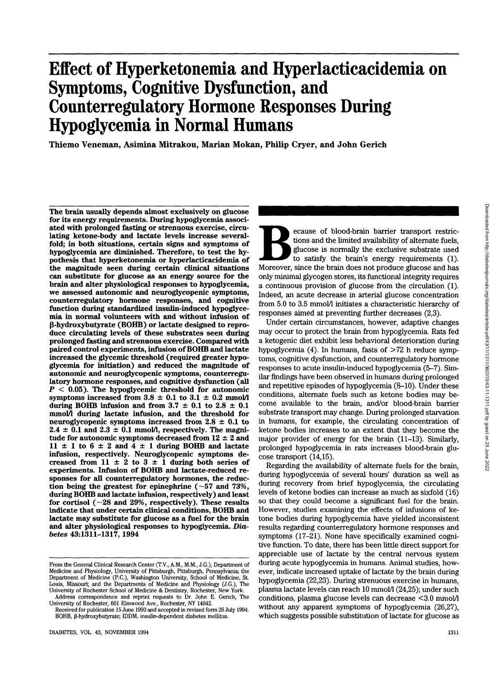# **Effect of Hyperketonemia and Hyperlacticacidemia on Symptoms, Cognitive Dysfunction, and Counterregulatory Hormone Responses During Hypoglycemia in Normal Humans**

**Thiemo Veneman, Asimina Mitrakou, Marian Mokan, Philip Cryer, and John Gerich**

**The brain usually depends almost exclusively on glucose for its energy requirements. During hypoglycemia associated with prolonged fasting or strenuous exercise, circulating ketone-body and lactate levels increase severalfold; in both situations, certain signs and symptoms of hypoglycemia are diminished. Therefore, to test the hypothesis that hyperketonemia or hyperlacticacidemia of the magnitude seen during certain clinical situations can substitute for glucose as an energy source for the brain and alter physiological responses to hypoglycemia, we assessed autonomic and neuroglycopenic symptoms, counterregulatory hormone responses, and cognitive function during standardized insulin-induced hypoglycemia in normal volunteers with and without infusion of (J-hydroxybutyrate (BOHB) or lactate designed to reproduce circulating levels of these substrates seen during prolonged fasting and strenuous exercise. Compared with paired control experiments, infusion of BOHB and lactate increased the glycemic threshold (required greater hypoglycemia for initiation) and reduced the magnitude of autonomic and neuroglycopenic symptoms, counterregulatory hormone responses, and cognitive dysfunction (all** *P <* **0.05). The hypoglycemic threshold for autonomic** symptoms increased from  $3.8 \pm 0.1$  to  $3.1 \pm 0.2$  mmol/l during BOHB infusion and from  $3.7 \pm 0.1$  to  $2.8 \pm 0.1$ **mmol/1 during lactate infusion, and the threshold for neuroglycopenic symptoms increased from 2.8 ± 0.1 to**  $2.4 \pm 0.1$  and  $2.3 \pm 0.1$  mmol/l, respectively. The magni**tude for autonomic symptoms decreased from 12 ± 2 and**  $11 \pm 1$  to  $6 \pm 2$  and  $4 \pm 1$  during BOHB and lactate **infusion, respectively. Neuroglycopenic symptoms de**creased from  $11 \pm 2$  to  $3 \pm 1$  during both series of **experiments. Infusion of BOHB and lactate-reduced responses for all counterregulatory hormones, the reduction being the greatest for epinephrine (~57 and 73%, during BOHB and lactate infusion, respectively) and least for cortisol (—28 and 29%, respectively). These results indicate that under certain clinical conditions, BOHB and lactate may substitute for glucose as a fuel for the brain and alter physiological responses to hypoglycemia.** *Diabetes* **43:1311-1317, 1994**

University of Rochester, 601 Elmwood Ave., Rochester, NY 14642. Received for publication 15 June 1993 and accepted in revised form 26 July 1994. Ecause of blood-brain barrier transport restrictions and the limited availability of alternate fuels, glucose is normally the exclusive substrate used to satisfy the brain's energy requirements (1). Moreover, since the bra tions and the limited availability of alternate fuels, glucose is normally the exclusive substrate used to satisfy the brain's energy requirements (1). only minimal glycogen stores, its functional integrity requires a continuous provision of glucose from the circulation (1). Indeed, an acute decrease in arterial glucose concentration from 5.0 to 3.5 mmol/1 initiates a characteristic hierarchy of responses aimed at preventing further decreases (2,3).

Under certain circumstances, however, adaptive changes may occur to protect the brain from hypoglycemia. Rats fed a ketogenic diet exhibit less behavioral deterioration during hypoglycemia (4). In humans, fasts of  $>72$  h reduce symptoms, cognitive dysfunction, and counterregulatory hormone responses to acute insulin-induced hypoglycemia (5-7). Similar findings have been observed in humans during prolonged and repetitive episodes of hypoglycemia (8-10). Under these conditions, alternate fuels such as ketone bodies may become available to the brain, and/or blood-brain barrier substrate transport may change. During prolonged starvation in humans, for example, the circulating concentration of ketone bodies increases to an extent that they become the major provider of energy for the brain (11-13). Similarly, prolonged hypoglycemia in rats increases blood-brain glucose transport (14,15).

Regarding the availability of alternate fuels for the brain, during hypoglycemia of several hours' duration as well as during recovery from brief hypoglycemia, the circulating levels of ketone bodies can increase as much as sixfold (16) so that they could become a significant fuel for the brain. However, studies examining the effects of infusions of ketone bodies during hypoglycemia have yielded inconsistent results regarding counterregulatory hormone responses and symptoms (17-21). None have specifically examined cognitive function. To date, there has been little direct support for appreciable use of lactate by the central nervous system during acute hypoglycemia in humans. Animal studies, however, indicate increased uptake of lactate by the brain during hypoglycemia (22,23). During strenuous exercise in humans, plasma lactate levels can reach 10 mmol/l (24,25); under such conditions, plasma glucose levels can decrease <3.0 mmol/1 without any apparent symptoms of hypoglycemia (26,27), which suggests possible substitution of lactate for glucose as

From the General Clinical Research Center (T.V., A.M., M.M., J.G.), Department of Medicine and Physiology, University of Pittsburgh, Pittsburgh, Pennsylvania; the Department of Medicine (PC), Washington University, School of Medicine, St. Louis, Missouri; and the Departments of Medicine and Physiology (J.G.), The University of Rochester School of Medicine & Dentistry, Rochester, New York. Address correspondence and reprint requests to Dr. John E. Gerich, The

BOHB, β-hydroxybutyrate; IDDM, insulin-dependent diabetes mellitus.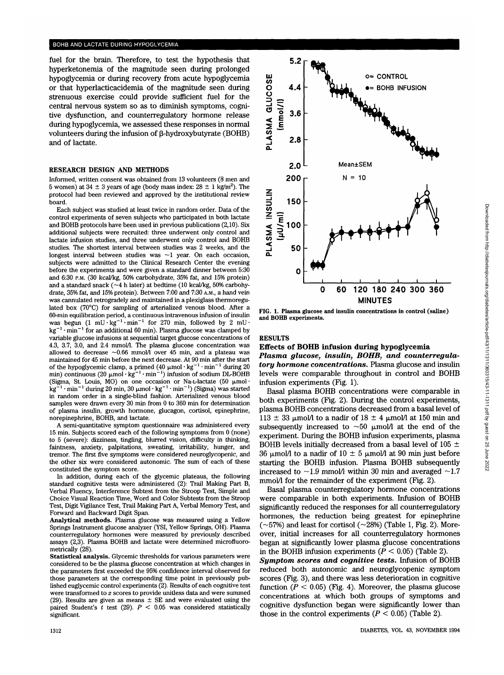fuel for the brain. Therefore, to test the hypothesis that hyperketonemia of the magnitude seen during prolonged hypoglycemia or during recovery from acute hypoglycemia or that hyperlacticacidemia of the magnitude seen during strenuous exercise could provide sufficient fuel for the central nervous system so as to diminish symptoms, cognitive dysfunction, and counterregulatory hormone release during hypoglycemia, we assessed these responses in normal volunteers during the infusion of  $\beta$ -hydroxybutyrate (BOHB) and of lactate.

### **RESEARCH DESIGN AND METHODS**

Informed, written consent was obtained from 13 volunteers (8 men and 5 women) at  $34 \pm 3$  years of age (body mass index:  $28 \pm 1$  kg/m<sup>2</sup>). The protocol had been reviewed and approved by the institutional review board.

Each subject was studied at least twice in random order. Data of the control experiments of seven subjects who participated in both lactate and BOHB protocols have been used in previous publications (2,10). Six additional subjects were recruited: three underwent only control and lactate infusion studies, and three underwent only control and BOHB studies. The shortest interval between studies was 2 weeks, and the longest interval between studies was  $\sim$ 1 year. On each occasion, subjects were admitted to the Clinical Research Center the evening before the experiments and were given a standard dinner between 5:30 and 6:30 P.M. (30 kcal/kg, 50% carbohydrate, 35% fat, and 15% protein) and a standard snack (~4 h later) at bedtime (10 kcal/kg, 50% carbohydrate, 35% fat, and 15% protein). Between 7:00 and 7:30 A.M., a hand vein was cannulated retrogradely and maintained in a plexiglass thermoregulated box (70°C) for sampling of arterialized venous blood. After a 60-min equilibration period, a continuous intravenous infusion of insulin  $60$ -min equilibration period, a continuous intravenous intusion of insulity<br>was bogun (1 mU-kg<sup>-1</sup>+min<sup>-1</sup> for 270 min, followed by 2 mUwas begun (1 mu·kg ··min · for 270 min, followed by 2 mu·<br> $\frac{1}{2}$  min<sup>-1</sup> for an additional 60 min). Plasma glucose was clamped by variable glucose infusions at sequential target glucose concentrations of 4.3, 3.7, 3.0, and 2.4 mmol/1. The plasma glucose concentration was 4.0, 0.1, 0.0, and 2.4 minority. The plasma glucose concentration was allowed to decrease  $\sim 0.00$  minority over 40 min, and a plateau was maintained for 45 min before the next decrease. At 90 min after the start<br>of the hypoglycemic clamp, a primed (40 µmol · kg<sup>-1</sup> · min<sup>-1</sup> · during 20<br>min) continuous (20 µmol · kg<sup>-1</sup> · min<sup>-1</sup> · infusion of sodium DL-BOH  $\sum_{i=1}^{\infty}$  (Sigma, St. Louis, MO) on one occasion or Na-L-lactate (50 p,mol • (Sigma, St. Louis, MO) on one occasion or Na-L-lactate (50  $\mu$ mol.)<br> $\text{kg}^{-1}$ , min<sup>-1</sup> during 20 min, 20 umol  $\text{kg}^{-1}$ , min<sup>-1</sup>) (Sigma) was started in random order in a single-blind fashion. Arterialized venous blood samples were drawn every 30 min from 0 to 360 min for determination of plasma insulin, growth hormone, glucagon, cortisol, epinephrine, norepinephrine, BOHB, and lactate.

A semi-quantitative symptom questionnaire was administered every 15 min. Subjects scored each of the following symptoms from 0 (none) to 5 (severe): dizziness, tingling, blurred vision, difficulty in thinking, faintness, anxiety, palpitations, sweating, irritability, hunger, and tremor. The first five symptoms were considered neuroglycopenic, and the other six were considered autonomic. The sum of each of these constituted the symptom score.

In addition, during each of the glycemic plateaus, the following standard cognitive tests were administered (2): Trail Making Part B, Verbal Fluency, Interference Subtest from the Stroop Test, Simple and Choice Visual Reaction Time, Word and Color Subtests from the Stroop Test, Digit Vigilance Test, Trail Making Part A, Verbal Memory Test, and Forward and Backward Digit Span.

**Analytical methods.** Plasma glucose was measured using a Yellow Springs Instrument glucose analyzer (YSI, Yellow Springs, OH). Plasma counterregulatory hormones were measured by previously described assays (2,3). Plasma BOHB and lactate were determined microfluorometrically (28).

**Statistical analysis.** Glycemic thresholds for various parameters were considered to be the plasma glucose concentration at which changes in the parameters first exceeded the 95% confidence interval observed for those parameters at the corresponding time point in previously published euglycemic control experiments (2). Results of each cognitive test were transformed to *z* scores to provide unitless data and were summed (29). Results are given as means  $\pm$  SE and were evaluated using the paired Student's *t* test (29). *P <* 0.05 was considered statistically significant.



**FIG. 1. Plasma glucose and insulin concentrations in control (saline) and BOHB experiments.**

## **RESULTS**

# Effects **of BOHB infusion during hypoglycemia**

*Plasma glucose, insulin, BOHB, and counterregulatory hormone concentrations.* Plasma glucose and insulin levels were comparable throughout in control and BOHB infusion experiments (Fig. 1).

Basal plasma BOHB concentrations were comparable in both experiments (Fig. 2). During the control experiments, plasma BOHB concentrations decreased from a basal level of 113  $\pm$  33 µmol/l to a nadir of 18  $\pm$  4 µmol/l at 150 min and subsequently increased to  $\sim 50$  µmol/l at the end of the experiment. During the BOHB infusion experiments, plasma BOHB levels initially decreased from a basal level of 105  $\pm$ 36  $\mu$ mol/l to a nadir of 10  $\pm$  5  $\mu$ mol/l at 90 min just before starting the BOHB infusion. Plasma BOHB subsequently increased to  $\sim$ 1.9 mmol/1 within 30 min and averaged  $\sim$ 1.7 mmol/1 for the remainder of the experiment (Fig. 2).

Basal plasma counterregulatory hormone concentrations were comparable in both experiments. Infusion of BOHB significantly reduced the responses for all counterregulatory hormones, the reduction being greatest for epinephrine  $(-57%)$  and least for cortisol  $(-28%)$  (Table 1, Fig. 2). Moreover, initial increases for all counterregulatory hormones began at significantly lower plasma glucose concentrations in the BOHB infusion experiments ( $P < 0.05$ ) (Table 2).

*Symptom scores and cognitive tests.* **Infusion of BOHB** reduced both autonomic and neuroglycopenic symptom scores (Fig. 3), and there was less deterioration in cognitive function ( $P < 0.05$ ) (Fig. 4). Moreover, the plasma glucose concentrations at which both groups of symptoms and cognitive dysfunction began were significantly lower than those in the control experiments ( $P < 0.05$ ) (Table 2).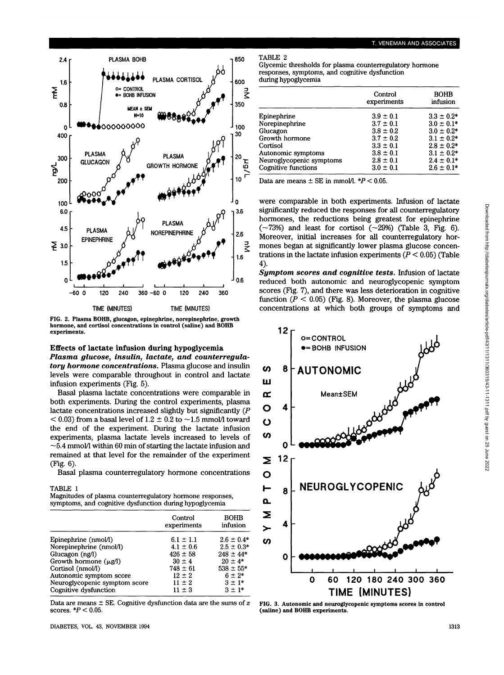

FIG. 2. Plasma BOHB, glucagon, epinephrine, norepinephrine, growth hormone, and cortisol concentrations in control (saline) and **BOHB** experiments.

# **Effects of lactate infusion during hypoglycemia**

*Plasma glucose, insulin, lactate, and counterregulatory hormone concentrations.* Plasma glucose and insulin levels were comparable throughout in control and lactate infusion experiments (Fig. 5).

Basal plasma lactate concentrations were comparable in both experiments. During the control experiments, plasma lactate concentrations increased slightly but significantly *(P*  $<$  0.03) from a basal level of 1.2  $\pm$  0.2 to  $\sim$  1.5 mmol/l toward the end of the experiment. During the lactate infusion experiments, plasma lactate levels increased to levels of  $\sim$  5.4 mmol/l within 60 min of starting the lactate infusion and remained at that level for the remainder of the experiment (Fig. 6).

Basal plasma counterregulatory hormone concentrations

#### TABLE 1

| Magnitudes of plasma counterregulatory hormone responses, |  |
|-----------------------------------------------------------|--|
| symptoms, and cognitive dysfunction during hypoglycemia   |  |

|                               | Control<br>experiments | <b>BOHB</b><br>infusion |
|-------------------------------|------------------------|-------------------------|
| Epinephrine (nmol/l)          | $6.1 \pm 1.1$          | $2.6 \pm 0.4*$          |
| Norepinephrine (nmol/l)       | $4.1 \pm 0.6$          | $2.5 \pm 0.3*$          |
| Glucagon (ng/l)               | $426 \pm 58$           | $248 \pm 44*$           |
| Growth hormone $(\mu g/l)$    | $30 \pm 4$             | $20 \pm 4*$             |
| Cortisol (nmol/l)             | $748 \pm 61$           | $538 \pm 55*$           |
| Autonomic symptom score       | $12 \pm 2$             | $6 \pm 2*$              |
| Neuroglycopenic symptom score | $11 \pm 2$             | $3 \pm 1^*$             |
| Cognitive dysfunction         | $11 \pm 3$             | $3 + 1*$                |

Data are means ± SE. Cognitive dysfunction data are the sums of *z* scores. *\*P <* 0.05.

DIABETES, VOL. 43, NOVEMBER 1994 1313

TABLE 2

| Glycemic thresholds for plasma counterregulatory hormone |
|----------------------------------------------------------|
| responses, symptoms, and cognitive dysfunction           |
| during hypoglycemia                                      |

|                          | Control<br>experiments | <b>BOHB</b><br>infusion |
|--------------------------|------------------------|-------------------------|
| Epinephrine              | $3.9 \pm 0.1$          | $3.3 \pm 0.2*$          |
| Norepinephrine           | $3.7 \pm 0.1$          | $3.0 \pm 0.1*$          |
| Glucagon                 | $3.8 \pm 0.2$          | $3.0 \pm 0.2*$          |
| Growth hormone           | $3.7 \pm 0.2$          | $3.1 \pm 0.2*$          |
| Cortisol                 | $3.3 \pm 0.1$          | $2.8 \pm 0.2*$          |
| Autonomic symptoms       | $3.8 \pm 0.1$          | $3.1 \pm 0.2^*$         |
| Neuroglycopenic symptoms | $2.8 \pm 0.1$          | $2.4 \pm 0.1*$          |
| Cognitive functions      | $3.0 \pm 0.1$          | $2.6 \pm 0.1*$          |

Data are means  $\pm$  SE in mmol/l.  $*P < 0.05$ .

were comparable in both experiments. Infusion of lactate significantly reduced the responses for all counterregulatory hormones, the reductions being greatest for epinephrine  $(\sim 73%)$  and least for cortisol  $(\sim 29%)$  (Table 3, Fig. 6). Moreover, initial increases for all counterregulatory hormones began at significantly lower plasma glucose concentrations in the lactate infusion experiments *(P <* 0.05) (Table 4).

*Symptom scores and cognitive tests.* **Infusion of lactate** reduced both autonomic and neuroglycopenic symptom scores (Fig. 7), and there was less deterioration in cognitive function  $(P < 0.05)$  (Fig. 8). Moreover, the plasma glucose concentrations at which both groups of symptoms and



FIG. 3. Autonomic and neuroglycopenic symptoms scores in control (saline) and **BOHB** experiments.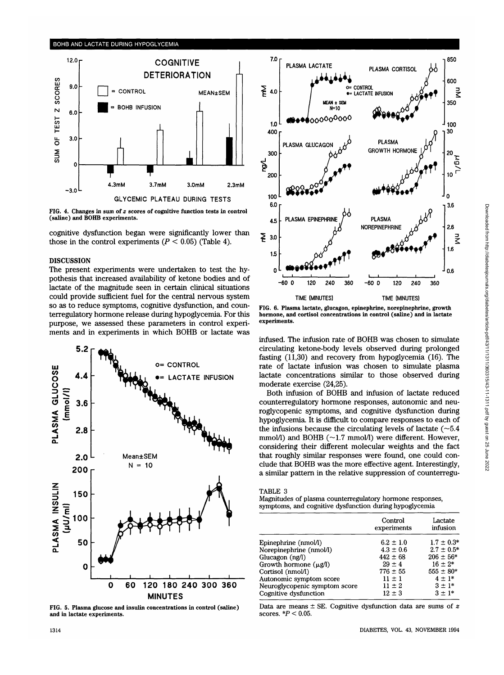

**FIG. 4. Changes in sum of** *z* **scores of cognitive function tests in control (saline) and BOHB experiments.**

cognitive dysfunction began were significantly lower than those in the control experiments  $(P < 0.05)$  (Table 4).

# DISCUSSION

The present experiments were undertaken to test the hypothesis that increased availability of ketone bodies and of lactate of the magnitude seen in certain clinical situations could provide sufficient fuel for the central nervous system so as to reduce symptoms, cognitive dysfunction, and counterregulatory hormone release during hypoglycemia. For this purpose, we assessed these parameters in control experiments and in experiments in which BOHB or lactate was



**FIG. 5. Plasma glucose and insulin concentrations in control (saline) and in lactate experiments.**



**FIG. 6. Plasma lactate, glucagon, epinephrine, norepinephrine, growth hormone, and cortisol concentrations in control (saline) and in lactate experiments.**

infused. The infusion rate of BOHB was chosen to simulate circulating ketone-body levels observed during prolonged fasting (11,30) and recovery from hypoglycemia (16). The rate of lactate infusion was chosen to simulate plasma lactate concentrations similar to those observed during moderate exercise (24,25).

Both infusion of BOHB and infusion of lactate reduced counterregulatory hormone responses, autonomic and neuroglycopenic symptoms, and cognitive dysfunction during hypoglycemia. It is difficult to compare responses to each of the infusions because the circulating levels of lactate  $(-5.4)$ mmol/l) and BOHB (~1.7 mmol/l) were different. However, considering their different molecular weights and the fact that roughly similar responses were found, one could conclude that BOHB was the more effective agent. Interestingly, a similar pattern in the relative suppression of counterregu-

#### TABLE 3

Magnitudes of plasma counterregulatory hormone responses, symptoms, and cognitive dysfunction during hypoglycemia

|                               | Control<br>experiments | Lactate<br>infusion |
|-------------------------------|------------------------|---------------------|
| Epinephrine (nmol/l)          | $6.2 \pm 1.0$          | $1.7 \pm 0.3*$      |
| Norepinephrine (nmol/l)       | $4.3 \pm 0.6$          | $2.7 \pm 0.5^*$     |
| Glucagon $(ng/l)$             | $442 \pm 68$           | $206 \pm 56*$       |
| Growth hormone $(\mu g/l)$    | $29 \pm 4$             | $16 \pm 2*$         |
| Cortisol (nmol/l)             | $776 \pm 55$           | $555 \pm 80*$       |
| Autonomic symptom score       | $11 \pm 1$             | $4 \pm 1*$          |
| Neuroglycopenic symptom score | $11 \pm 2$             | $3 \pm 1^*$         |
| Cognitive dysfunction         | $12 \pm 3$             | $3 \pm 1^*$         |

Data are means ± SE. Cognitive dysfunction data are sums of *z* scores. *\*P <* 0.05.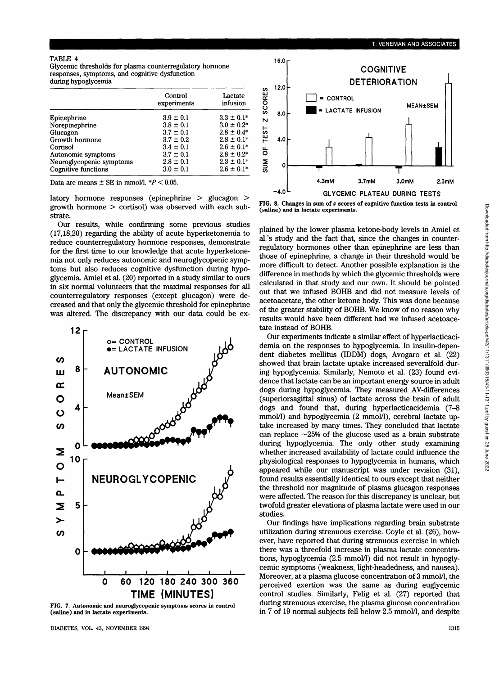Glycemic thresholds for plasma counterregulatory hormone responses, symptoms, and cognitive dysfunction during hypoglycemia

|                          | Control<br>experiments | Lactate<br>infusion |
|--------------------------|------------------------|---------------------|
| Epinephrine              | $3.9 \pm 0.1$          | $3.3 \pm 0.1*$      |
| Norepinephrine           | $3.8 \pm 0.1$          | $3.0 \pm 0.2^*$     |
| Glucagon                 | $3.7 \pm 0.1$          | $2.8 \pm 0.4*$      |
| Growth hormone           | $3.7 \pm 0.2$          | $2.8 \pm 0.1*$      |
| Cortisol                 | $3.4 \pm 0.1$          | $2.6 \pm 0.1*$      |
| Autonomic symptoms       | $3.7 \pm 0.1$          | $2.8 \pm 0.2^*$     |
| Neuroglycopenic symptoms | $2.8 \pm 0.1$          | $2.3 \pm 0.1*$      |
| Cognitive functions      | $3.0 \pm 0.1$          | $2.6 \pm 0.1*$      |

Data are means  $\pm$  SE in mmol/l.  $*P < 0.05$ .

latory hormone responses (epinephrine > glucagon > growth hormone > cortisol) was observed with each substrate.

Our results, while confirming some previous studies (17,18,20) regarding the ability of acute hyperketonemia to reduce counterregulatory hormone responses, demonstrate for the first time to our knowledge that acute hyperketonemia not only reduces autonomic and neuroglycopenic symptoms but also reduces cognitive dysfunction during hypoglycemia. Amiel et al. (20) reported in a study similar to ours in six normal volunteers that the maximal responses for all counterregulatory responses (except glucagon) were decreased and that only the glycemic threshold for epinephrine was altered. The discrepancy with our data could be ex-



**FIG. 7. Autonomic and neuroglycopenic symptoms scores in control (saline) and in lactate experiments.**

DIABETES, VOL. 43, NOVEMBER 1994 1315



**FIG. 8. Changes in sum of** *z* **scores of cognitive function tests in control (saline) and in lactate experiments.**

plained by the lower plasma ketone-body levels in Amiel et al.'s study and the fact that, since the changes in counterregulatory hormones other than epinephrine are less than those of epinephrine, a change in their threshold would be more difficult to detect. Another possible explanation is the difference in methods by which the glycemic thresholds were calculated in that study and our own. It should be pointed out that we infused BOHB and did not measure levels of acetoacetate, the other ketone body. This was done because of the greater stability of BOHB. We know of no reason why results would have been different had we infused acetoacetate instead of BOHB.

Our experiments indicate a similar effect of hyperlacticacidemia on the responses to hypoglycemia. In insulin-dependent diabetes mellitus (IDDM) dogs, Avogaro et al. (22) showed that brain lactate uptake increased severalfold during hypoglycemia. Similarly, Nemoto et al. (23) found evidence that lactate can be an important energy source in adult dogs during hypoglycemia. They measured AV-differences (superiorsagittal sinus) of lactate across the brain of adult dogs and found that, during hyperlacticacidemia (7-8 mmol/l) and hypoglycemia (2 mmol/l), cerebral lactate uptake increased by many times. They concluded that lactate can replace  $\sim$ 25% of the glucose used as a brain substrate during hypoglycemia. The only other study examining whether increased availability of lactate could influence the physiological responses to hypoglycemia in humans, which appeared while our manuscript was under revision (31), found results essentially identical to ours except that neither the threshold nor magnitude of plasma glucagon responses were affected. The reason for this discrepancy is unclear, but twofold greater elevations of plasma lactate were used in our studies.

Our findings have implications regarding brain substrate utilization during strenuous exercise. Coyle et al. (26), however, have reported that during strenuous exercise in which there was a threefold increase in plasma lactate concentrations, hypoglycemia (2.5 mmol/1) did not result in hypoglycemic symptoms (weakness, light-headedness, and nausea). Moreover, at a plasma glucose concentration of 3 mmol/l, the perceived exertion was the same as during euglycemic control studies. Similarly, Felig et al. (27) reported that during strenuous exercise, the plasma glucose concentration in 7 of 19 normal subjects fell below 2.5 mmol/1, and despite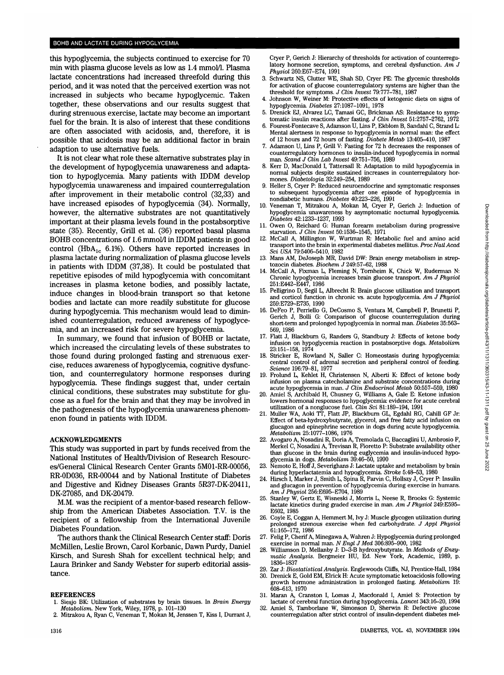#### BOHB AND LACTATE DURING HYPOGLYCEMIA

this hypoglycemia, the subjects continued to exercise for 70 min with plasma glucose levels as low as 1.4 mmol/1. Plasma lactate concentrations had increased threefold during this period, and it was noted that the perceived exertion was not increased in subjects who became hypoglycemic. Taken together, these observations and our results suggest that during strenuous exercise, lactate may become an important fuel for the brain. It is also of interest that these conditions are often associated with acidosis, and, therefore, it is possible that acidosis may be an additional factor in brain adaption to use alternative fuels.

It is not clear what role these alternative substrates play in the development of hypoglycemia unawareness and adaptation to hypoglycemia. Many patients with IDDM develop hypoglycemia unawareness and impaired counterregulation after improvement in their metabolic control (32,33) and have increased episodes of hypoglycemia (34). Normally, however, the alternative substrates are not quantitatively important at their plasma levels found in the postabsorptive state (35). Recently, Grill et al. (36) reported basal plasma BOHB concentrations of 1.6 mmol/1 in IDDM patients in good control (HbA<sub>1c</sub> 6.1%). Others have reported increases in plasma lactate during normalization of plasma glucose levels in patients with IDDM (37,38). It could be postulated that repetitive episodes of mild hypoglycemia with concomitant increases in plasma ketone bodies, and possibly lactate, induce changes in blood-brain transport so that ketone bodies and lactate can more readily substitute for glucose during hypoglycemia. This mechanism would lead to diminished counterregulation, reduced awareness of hypoglycemia, and an increased risk for severe hypoglycemia.

In summary, we found that infusion of BOHB or lactate, which increased the circulating levels of these substrates to those found during prolonged fasting and strenuous exercise, reduces awareness of hypoglycemia, cognitive dysfunction, and counterregulatory hormone responses during hypoglycemia. These findings suggest that, under certain clinical conditions, these substrates may substitute for glucose as a fuel for the brain and that they may be involved in the pathogenesis of the hypoglycemia unawareness phenomenon found in patients with IDDM.

#### ACKNOWLEDGMENTS

This study was supported in part by funds received from the National Institutes of Health/Division of Research Resources/General Clinical Research Center Grants 5M01-RR-00056, RR-0D036, RR-00044 and by National Institute of Diabetes and Digestive and Kidney Diseases Grants 5R37-DK-20411, DK-27085, and DK-20479.

M.M. was the recipient of a mentor-based research fellowship from the American Diabetes Association. T.V. is the recipient of a fellowship from the International Juvenile Diabetes Foundation.

The authors thank the Clinical Research Center staff: Doris McMillen, Leslie Brown, Carol Korbanic, Dawn Purdy, Daniel Kirsch, and Suresh Shah for excellent technical help; and Laura Brinker and Sandy Webster for superb editorial assistance.

#### **REFERENCES**

- 1. Siesjo BK: Utilization of substrates by brain tissues. In *Brain Energy Metabolism.* New York, Wiley, 1978, p. 101-130
- 2. Mitrakou A, Ryan C, Veneman T, Mokan M, Jenssen T, Kiss I, Durrant J,

Cryer P, Gerich J: Hierarchy of thresholds for activation of counterregulatory hormone secretion, symptoms, and cerebral dysfunction. *Am J Physiol* 260:E67-E74, 1991

- 3. Schwartz NS, Clutter WE, Shah SD, Cryer PE: The glycemic thresholds for activation of glucose counterregulatory systems are higher than the threshold for symptoms. *J Clin Invest* 79:777-781, 1987
- 4. Johnson W, Weiner M: Protective effects of ketogenic diets on signs of hypoglycemia. *Diabetes* 27:1087-1091, 1978
- 5. Drenick EJ, Alvarez LC, Tamasi GC, Brickman AS: Resistance to symptomatic insulin reactions after fasting. *J Clin Invest* 51:2757-2762, 1972
- 6. Fourest-Fontecave S, Adamson U, Lins P, Ekblom B, Sandahl C, Strand L: Mental alertness in response to hypoglycemia in normal man: the effect of 12 hours and 72 hours of fasting. *Diabete Metab* 13:405-410, 1987
- 7. Adamson U, lins P, Grill V: Fasting for 72 h decreases the responses of counterregulatory hormones to insulin-induced hypoglycemia in normal man. *Scand J Clin Lab Invest* 49:751-756, 1989
- 8. Kerr D, MacDonald I, Tattersall R: Adaptation to mild hypoglycemia in normal subjects despite sustained increases in counterregulatory hormones. *Diabetologia* 32:249-254, 1989
- 9. Heller S, Cryer P: Reduced neuroendocrine and symptomatic responses to subsequent hypoglycemia after one episode of hypoglycemia in nondiabetic humans. *Diabetes* 40:223-226, 1991
- 10. Veneman T, Mitrakou A, Mokan M, Cryer P, Gerich J: Induction of hypoglycemia unawareness by asymptomatic nocturnal hypoglycemia. *Diabetes* 42:1233-1237, 1993
- 11. Owen O, Reichard G: Human forearm metabolism during progressive starvation. *J Clin Invest* 50:1536-1545, 1971
- 12. McCall A, Millington W, Wurtman R: Metabolic fuel and amino acid transport into the brain in experimental diabetes mellitus. *Proc Natl Acad Sci USA* 79:5406-5410, 1982
- 13. Mans AM, DeJoseph MR, David DW: Brain energy metabolism in streptozocin diabetes. *Biochem J* 249:57-62, 1988
- 14. McCall A, Fixman L, Fleming N, Tornheim K, Chick W, Ruderman N: Chronic hypoglycemia increases brain glucose transport. *Am J Physiol* 251:E442-E447, 1986
- 15. Pelligrino D, Segil L, Albrecht R: Brain glucose utilization and transport and corticol function in chronic vs. acute hypoglycemia. *Am J Physiol* 259:E729-E735, 1990
- 16. DeFeo P, Perriello G, DeCosmo S, Ventura M, Campbell P, Brunetti P, Gerich J, Bolli G: Comparison of glucose counterregulation during short-term and prolonged hypoglycemia in normal man. *Diabetes* 35:563- 569, 1986
- 17. Flatt J, Blackburn G, Randers G, Standbury J: Effects of ketone body infusion on hypoglycemia reaction in postabsorptive dogs. *Metabolism* 23:151-158, 1974
- Stricker E, Rowland N, Saller C: Homeostasis during hypoglycemia: central control of adrenal secretion and peripheral control of feeding. *Science* 196:79-81, 1977
- 19. Frolund L, Kehlet H, Christensen N, Alberti K: Effect of ketone body infusion on plasma catecholamine and substrate concentrations during acute hypoglycemia in man. *J Clin Endocrinol Metab* 50:557-559, 1980
- 20. Amiel S, Archibald H, Chusney G, Williams A, Gale E: Ketone infusion lowers hormonal responses to hypoglycemia: evidence for acute cerebral utilization of a nonglucose fuel. *Clin Sci* 81:189-194, 1991
- 21. Muller WA, Aoki TT, Flatt JP, Blackburn GL, Egdahl RG, Cahill GF Jr: Effect of beta-hydroxybutyrate, glycerol, and free fatty acid infusion on glucagon and epinephrine secretion in dogs during acute hypoglycemia. *Metabolism* 25:1077-1086, 1976
- 22. Avogaro A, Nosadini R, Doria A, Tremolada C, Baccaglini U, Ambrosio F, Merkel C, Nosadini A, Trevisan R, Fioretto P: Substrate availability other than glucose in the brain during euglycemia and insulin-induced hypoglycemia in dogs. *Metabolism* 39:46-50, 1990
- Nemoto E, Hoff J, Severighans J: Lactate uptake and metabolism by brain during hyperlactatemia and hypoglycemia. *Stroke* 5:48-53, 1980
- 24. Hirsch I, Marker J, Smith L, Spina R, Parvin C, Hollszy J, Cryer P: Insulin and glucagon in prevention of hypoglycemia during exercise in humans. *Am J Physiol* 256:E695-E704, 1989
- 25. Stanley W, Gertz E, Wisneski J, Morris L, Neese R, Brooks G: Systemic lactate kinetics during graded exercise in man. *Am J Physiol* 249:E595- E602, 1985
- 26. Coyle E, Coggan A, Hemmert M, Ivy J: Muscle glycogen utilization during prolonged strenous exercise when fed carbohydrate. *J Appl Physiol* 61:165-172, 1986
- 27. Felig P, Cherif A, Minegawa A, Wahren J: Hypoglycemia during prolonged exercise in normal man. *N Engl J Med* 306:895-900, 1982
- 28. Williamson D, Mellanby J: D-3-B hydroxybutyrate. In *Methods of Enzymatic Analysis.* Bergmeier HU, Ed. New York, Academic, 1989, p. 1836-1837
- 29. Zar J: *Biostatistical Analysis.* Englewoods Cliffs, NJ, Prentice-Hall, 1984
- 30. Drenick E, Gold EM, Elrick H: Acute symptomatic ketoacidosis following growth hormone administration in prolonged fasting. *Metabolism* 19: 608-613, 1970
- 31. Maran A, Cranston I, Lomas J, Macdonald I, Amiel S: Protection by lactate of cerebral function during hypoglycemia. *Lancet* 343:16-20,1994
- 32. Amiel S, Tamborlane W, Simonson D, Sherwin R: Defective glucose counterregulation after strict control of insulin-dependent diabetes mel-